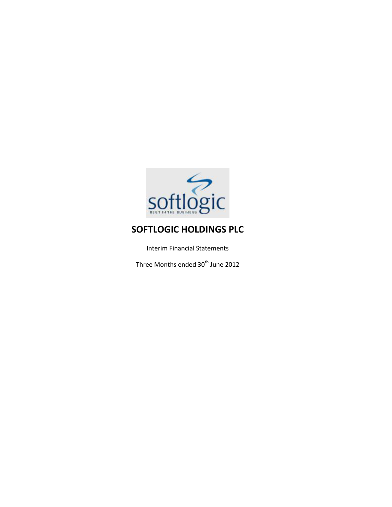

Interim Financial Statements

Three Months ended  $30<sup>th</sup>$  June 2012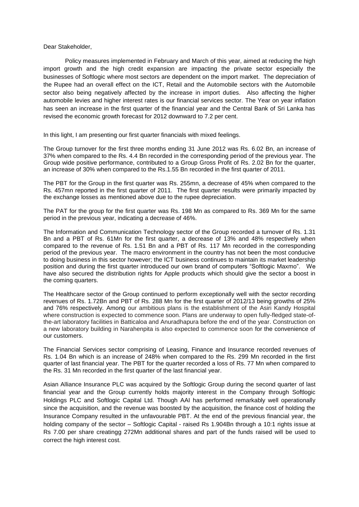Dear Stakeholder,

Policy measures implemented in February and March of this year, aimed at reducing the high import growth and the high credit expansion are impacting the private sector especially the businesses of Softlogic where most sectors are dependent on the import market. The depreciation of the Rupee had an overall effect on the ICT, Retail and the Automobile sectors with the Automobile sector also being negatively affected by the increase in import duties. Also affecting the higher automobile levies and higher interest rates is our financial services sector. The Year on year inflation has seen an increase in the first quarter of the financial year and the Central Bank of Sri Lanka has revised the economic growth forecast for 2012 downward to 7.2 per cent.

In this light, I am presenting our first quarter financials with mixed feelings.

The Group turnover for the first three months ending 31 June 2012 was Rs. 6.02 Bn, an increase of 37% when compared to the Rs. 4.4 Bn recorded in the corresponding period of the previous year. The Group wide positive performance, contributed to a Group Gross Profit of Rs. 2.02 Bn for the quarter, an increase of 30% when compared to the Rs.1.55 Bn recorded in the first quarter of 2011.

The PBT for the Group in the first quarter was Rs. 255mn, a decrease of 45% when compared to the Rs. 457mn reported in the first quarter of 2011. The first quarter results were primarily impacted by the exchange losses as mentioned above due to the rupee depreciation.

The PAT for the group for the first quarter was Rs. 198 Mn as compared to Rs. 369 Mn for the same period in the previous year, indicating a decrease of 46%.

The Information and Communication Technology sector of the Group recorded a turnover of Rs. 1.31 Bn and a PBT of Rs. 61Mn for the first quarter, a decrease of 13% and 48% respectively when compared to the revenue of Rs. 1.51 Bn and a PBT of Rs. 117 Mn recorded in the corresponding period of the previous year. The macro environment in the country has not been the most conducive to doing business in this sector however; the ICT business continues to maintain its market leadership position and during the first quarter introduced our own brand of computers "Softlogic Maxmo". We have also secured the distribution rights for Apple products which should give the sector a boost in the coming quarters.

The Healthcare sector of the Group continued to perform exceptionally well with the sector recording revenues of Rs. 1.72Bn and PBT of Rs. 288 Mn for the first quarter of 2012/13 being growths of 25% and 76% respectively. Among our ambitious plans is the establishment of the Asiri Kandy Hospital where construction is expected to commence soon. Plans are underway to open fully-fledged state-ofthe-art laboratory facilities in Batticaloa and Anuradhapura before the end of the year. Construction on a new laboratory building in Narahenpita is also expected to commence soon for the convenience of our customers.

The Financial Services sector comprising of Leasing, Finance and Insurance recorded revenues of Rs. 1.04 Bn which is an increase of 248% when compared to the Rs. 299 Mn recorded in the first quarter of last financial year. The PBT for the quarter recorded a loss of Rs. 77 Mn when compared to the Rs. 31 Mn recorded in the first quarter of the last financial year.

Asian Alliance Insurance PLC was acquired by the Softlogic Group during the second quarter of last financial year and the Group currently holds majority interest in the Company through Softlogic Holdings PLC and Softlogic Capital Ltd. Though AAI has performed remarkably well operationally since the acquisition, and the revenue was boosted by the acquisition, the finance cost of holding the Insurance Company resulted in the unfavourable PBT. At the end of the previous financial year, the holding company of the sector – Softlogic Capital - raised Rs 1.904Bn through a 10:1 rights issue at Rs 7.00 per share creatingg 272Mn additional shares and part of the funds raised will be used to correct the high interest cost.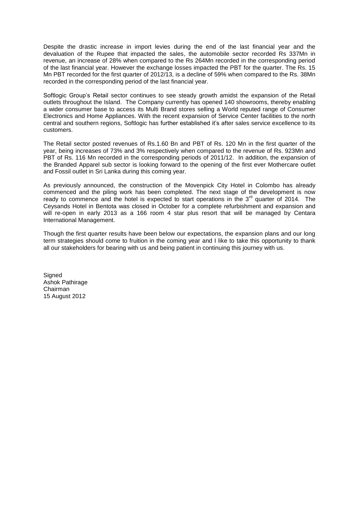Despite the drastic increase in import levies during the end of the last financial year and the devaluation of the Rupee that impacted the sales, the automobile sector recorded Rs 337Mn in revenue, an increase of 28% when compared to the Rs 264Mn recorded in the corresponding period of the last financial year. However the exchange losses impacted the PBT for the quarter. The Rs. 15 Mn PBT recorded for the first quarter of 2012/13, is a decline of 59% when compared to the Rs. 38Mn recorded in the corresponding period of the last financial year.

Softlogic Group's Retail sector continues to see steady growth amidst the expansion of the Retail outlets throughout the Island. The Company currently has opened 140 showrooms, thereby enabling a wider consumer base to access its Multi Brand stores selling a World reputed range of Consumer Electronics and Home Appliances. With the recent expansion of Service Center facilities to the north central and southern regions, Softlogic has further established it's after sales service excellence to its customers.

The Retail sector posted revenues of Rs.1.60 Bn and PBT of Rs. 120 Mn in the first quarter of the year, being increases of 73% and 3% respectively when compared to the revenue of Rs. 923Mn and PBT of Rs. 116 Mn recorded in the corresponding periods of 2011/12. In addition, the expansion of the Branded Apparel sub sector is looking forward to the opening of the first ever Mothercare outlet and Fossil outlet in Sri Lanka during this coming year.

As previously announced, the construction of the Movenpick City Hotel in Colombo has already commenced and the piling work has been completed. The next stage of the development is now ready to commence and the hotel is expected to start operations in the 3<sup>rd</sup> quarter of 2014. The Ceysands Hotel in Bentota was closed in October for a complete refurbishment and expansion and will re-open in early 2013 as a 166 room 4 star plus resort that will be managed by Centara International Management.

Though the first quarter results have been below our expectations, the expansion plans and our long term strategies should come to fruition in the coming year and I like to take this opportunity to thank all our stakeholders for bearing with us and being patient in continuing this journey with us.

**Signed** Ashok Pathirage Chairman 15 August 2012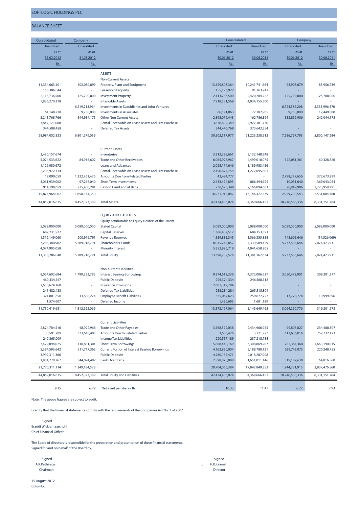**BALANCE SHEET**

|  | UF I LUUIL NULDIINUJ PLL |  |  |  |
|--|--------------------------|--|--|--|
|  |                          |  |  |  |
|  |                          |  |  |  |

**Consolidated Company Unaudited Unaudited Unaudited Unaudited Unaudited Unaudited as at as at as at as at as at as at 31.03.2012 31.03.2012 30.06.2012 30.06.2011 30.06.2012 30.06.2011 Rs. Rs. Rs. Rs. Rs. Rs. ASSETS Non-Current Assets** 11,334,063,101 102,080,899 Property, Plant and Equipment 13,129,803,364 10,241,741,664 93,908,679 83,956,739 155,386,044 - Leasehold Property 155,126,922 91,163,742 - - 2,113,736,500 125,700,000 Investment Property 2,113,736,500 2,420,284,222 125,700,000 125,700,000 7,886,270,218 - Intangible Assets 7,918,531,569 4,934,155,300 - - - 6,219,213,964 Investments in Subsidiaries and Joint Ventures - - 6,724,586,208 5,335,996,570 61,148,738 9,750,000 Investments in Associates 66,191,063 77,282,965 9,750,000 12,449,800 3,241,768,766 344,934,175 Other Non Current Assets 2,898,079,443 162,786,894 332,852,906 242,044,175 3,847,171,008 - Rental Receivable on Lease Assets and Hire Purchase 3,876,602,349 2,922,181,770 - - 344,508,458 - Deferred Tax Assets 344,446,769 373,642,354 - -  **28,984,052,833 6,801,679,039 30,502,517,977 21,223,238,912 7,286,797,793 5,800,147,284 Current Assets** 3,480,157,674 - Inventories 3,212,398,661 3,132,148,848 - - 5,074,533,622 84,916,602 Trade and Other Receivables 6,065,928,967 4,499,010,075 122,081,261 60,328,826 1,126,080,672 - Loans and Advances 2,028,174,646 1,189,983,456 - - 2,205,972,314 - Rental Receivable on Lease Assets and Hire Purchase 2,450,877,755 1,272,695,801<br>2,290,059 1,232,761,426 Amounts Due from Related Parties and Hire Purchase 2,484,777 - 2,798,727,656 372,673,299 12,090,059 1,232,761,426 Amounts Due from Related Parties 42,484,777 1 2,798,777,656 372,776,56 3,061,939,002 97,266,040 Short Term Investments 2,433,474,893 886,494,694 10,031,640 369,043,064 914,190,659 235,400,281 Cash in Hand and at Bank 738,575,348 2,166,094,663 28,949,986 1,728,959,291  **15,874,964,002 1,650,344,350 16,971,915,047 13,146,427,539 2,959,790,543 2,531,004,480 44,859,016,835 8,452,023,389 Total Assets 47,474,433,024 34,369,666,451 10,246,588,336 8,331,151,764 EQUITY AND LIABILITIES Equity Attributable to Equity Holders of the Parent** 5,089,000,000 5,089,000,000 Stated Capital 5,089,000,000 5,089,000,000 5,089,000,000 5,089,000,000 682,231,922 - Capital Reserves 1,366,407,512 684,153,591 - - 1,512,149,060 200,916,791 Revenue Reserves 1,589,835,345 1,566,355,838 148,605,646 (14,526,069) 7,283,380,982 5,289,916,791 Shareholders' Funds 8,045,242,857 7,339,509,429 5,237,605,646 5,074,473,931 4,074,905,058 - Minority Interest 5,352,996,718 4,041,658,205 - -  **11,358,286,040 5,289,916,791 Total Equity 13,398,239,576 11,381,167,634 5,237,605,646 5,074,473,931 Non-current Liabilities** 8,054,602,684 1,799,233,795 Interest Bearing Borrowings 9,274,612,336 4,372,006,627 3,050,472,001 308,201,377 460,334,147 - Public Deposits 926,324,334 246,568,118 - - 2,650,624,160 - Insurance Provisions 2,601,347,794 241,482,433 - Deferred Tax Liabilities 233,284,284 265,515,804 - - 321,801,650 13,688,274 Employee Benet Liabilities 335,067,623 259,877,727 13,778,774 10,999,896 1,574,607 - Deferred Income 1,490,693 1,681,189 - -  **11,730,419,681 1,812,922,069 13,372,127,064 5,145,649,465 3,064,250,776 319,201,273 Current Liabilities** 2,824,784,516 48,922,968 Trade and Other Payables 3,568,579,038 2,434,960,955 99,805,827 234,488,307 33,591,789 333,618,405 Amounts Due to Related Parties 3,656,426 3,721,277 613,636,016 757,732,123 240,365,009 - Income Tax Liabilities 220,557,189 237,218,738 - - 7,429,894,025 110,831,301 Short Term Borrowings 5,888,448,169 6,308,869,207 282,364,368 1,660,190,815 5,394,593,642 511,717,362 Current Portion of Interest Bearing Borrowings 4,163,820,004 5,188,780,121 629,743,073 220,248,755 3,992,311,366 - Public Deposits 4,260,135,471 2,018,287,908 - - 1,854,770,767 344,094,492 Bank Overdrafts 2,598,870,088 1,651,011,146 319,182,630 64,816,560  **21,770,311,114 1,349,184,528 20,704,066,384 17,842,849,352 1,944,731,915 2,937,476,560 44,859,016,835 8,452,023,389 Total Equity and Liabilities 47,474,433,024 34,369,666,451 10,246,588,336 8,331,151,764 Consolidated Company**

 **9.35 6.79** Net asset per share - Rs. **10.33 11.47 6.72 7.93**

Note : The above figures are subject to audit.

I certify that the financial statements comply with the requirements of the Companies Act No. 7 of 2007.

Signed Erandi Wickramaarchchi Chief Financial Officer

The Board of directors is responsible for the preparation and presentation of these financial statements. Signed for and on behalf of the Board by,

| Signed        | Signed          |
|---------------|-----------------|
| A.K.Pathirage | H.K.Kaimal      |
| Chairman      | <b>Director</b> |

15 August 2012 Colombo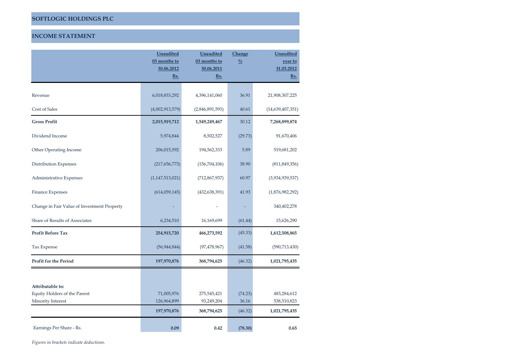# **INCOME STATEMENT**

|                                             | <b>Unaudited</b>   | <b>Unaudited</b>         | Change        | <b>Unaudited</b>      |
|---------------------------------------------|--------------------|--------------------------|---------------|-----------------------|
|                                             | 03 months to       | 03 months to             | $\frac{0}{0}$ | year to<br>31.03.2012 |
|                                             | 30.06.2012<br>Rs.  | 30.06.2011<br><u>Rs.</u> |               | <u>Rs.</u>            |
|                                             |                    |                          |               |                       |
| Revenue                                     | 6,018,833,292      | 4,396,141,060            | 36.91         | 21,908,307,225        |
| Cost of Sales                               | (4,002,913,579)    | (2,846,891,593)          | 40.61         | (14,639,407,351)      |
| <b>Gross Profit</b>                         | 2,015,919,712      | 1,549,249,467            | 30.12         | 7,268,899,874         |
| Dividend Income                             | 5,974,844          | 8,502,527                | (29.73)       | 91,670,406            |
| Other Operating Income                      | 206,015,592        | 194,562,333              | 5.89          | 519,681,202           |
| Distribution Expenses                       | (217,656,773)      | (156, 704, 106)          | 38.90         | (811, 849, 356)       |
| Administrative Expenses                     | (1, 147, 513, 021) | (712, 867, 937)          | 60.97         | (3,934,939,537)       |
| Finance Expenses                            | (614,059,145)      | (432, 638, 391)          | 41.93         | (1,876,982,292)       |
| Change in Fair Value of Investment Property |                    |                          |               | 340,402,278           |
| Share of Results of Associates              | 6,234,510          | 16,169,699               | (61.44)       | 15,626,290            |
| <b>Profit Before Tax</b>                    | 254,915,720        | 466,273,592              | (45.33)       | 1,612,508,865         |
| Tax Expense                                 | (56, 944, 844)     | (97, 478, 967)           | (41.58)       | (590, 713, 430)       |
| <b>Profit for the Period</b>                | 197,970,876        | 368,794,625              | (46.32)       | 1,021,795,435         |
|                                             |                    |                          |               |                       |
| Attributable to:                            |                    |                          |               |                       |
| Equity Holders of the Parent                | 71,005,976         | 275,545,421              | (74.23)       | 483,284,612           |
| Minority Interest                           | 126,964,899        | 93,249,204               | 36.16         | 538,510,823           |
|                                             | 197,970,876        | 368,794,625              | (46.32)       | 1,021,795,435         |
| Earnings Per Share - Rs.                    | 0.09               | 0.42                     | (78.30)       | 0.65                  |

*Figures in brackets indicate deductions.*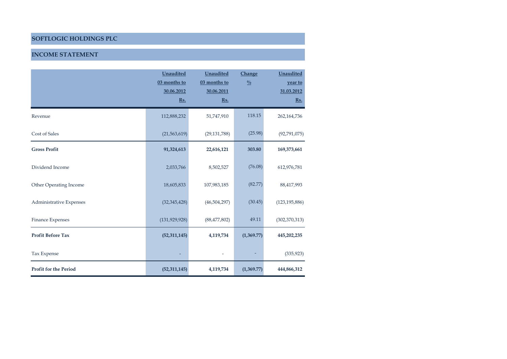# **INCOME STATEMENT**

|                              | Unaudited<br>03 months to<br>30.06.2012<br>Rs. | Unaudited<br>03 months to<br>30.06.2011<br>Rs. | Change<br>$\frac{0}{0}$ | Unaudited<br>year to<br>31.03.2012<br>Rs. |
|------------------------------|------------------------------------------------|------------------------------------------------|-------------------------|-------------------------------------------|
| Revenue                      | 112,888,232                                    | 51,747,910                                     | 118.15                  | 262,164,736                               |
| Cost of Sales                | (21, 563, 619)                                 | (29, 131, 788)                                 | (25.98)                 | (92,791,075)                              |
| <b>Gross Profit</b>          | 91,324,613                                     | 22,616,121                                     | 303.80                  | 169,373,661                               |
| Dividend Income              | 2,033,766                                      | 8,502,527                                      | (76.08)                 | 612,976,781                               |
| Other Operating Income       | 18,605,833                                     | 107,983,185                                    | (82.77)                 | 88,417,993                                |
| Administrative Expenses      | (32, 345, 428)                                 | (46,504,297)                                   | (30.45)                 | (123, 195, 886)                           |
| Finance Expenses             | (131, 929, 928)                                | (88, 477, 802)                                 | 49.11                   | (302, 370, 313)                           |
| <b>Profit Before Tax</b>     | (52, 311, 145)                                 | 4,119,734                                      | (1,369.77)              | 445,202,235                               |
| Tax Expense                  |                                                |                                                |                         | (335, 923)                                |
| <b>Profit for the Period</b> | (52, 311, 145)                                 | 4,119,734                                      | (1,369.77)              | 444,866,312                               |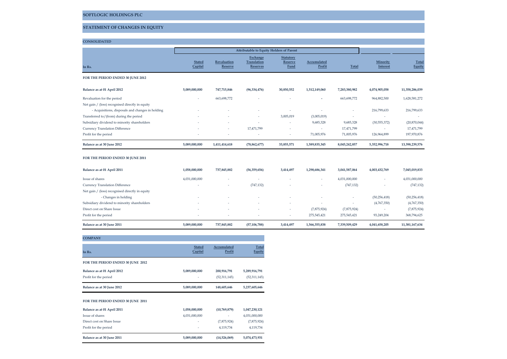# **STATEMENT OF CHANGES IN EQUITY**

#### **CONSOLIDATED**

| In Rs. | <u>Stated</u><br><b>Capital</b> | <b>Revaluation</b><br>Reserve | <b>Exchange</b><br>Translation<br><b>Reserves</b> | <b>Statutory</b><br>Reserve<br><b>Fund</b> | Accumulated<br>Profit | <b>Total</b> | Minority<br>Interest | <b>Total</b><br>Equity |
|--------|---------------------------------|-------------------------------|---------------------------------------------------|--------------------------------------------|-----------------------|--------------|----------------------|------------------------|

#### **FOR THE PERIOD ENDED 30 JUNE 2012**

| Balance as at 01 April 2012                      | 5.089.000.000 | 747.715.846              | (96, 334, 476)           | 30,850,552               | 1.512.149.060            | 7.283.380.982 | 4.074.905.058  | 11,358,286,039 |
|--------------------------------------------------|---------------|--------------------------|--------------------------|--------------------------|--------------------------|---------------|----------------|----------------|
| Revaluation for the period                       |               | 663.698.772              | $\overline{\phantom{a}}$ | -                        | $\overline{\phantom{a}}$ | 663.698.772   | 964,882,500    | 1,628,581,272  |
| Net gain / (loss) recognised directly in equity  |               |                          |                          |                          |                          |               |                |                |
| - Acquisitions, disposals and changes in holding | ۰.            | $\overline{\phantom{a}}$ | $\overline{\phantom{a}}$ | $\overline{\phantom{a}}$ |                          | ۰             | 216,799,633    | 216,799,633    |
| Transferred to/(from) during the period          | ۰.            | ۰                        | $\overline{\phantom{a}}$ | 3,005,019                | (3,005,019)              |               |                | -              |
| Subsidiary dividend to minority shareholders     | ۰.            | ۰                        | $\overline{\phantom{a}}$ | ٠                        | 9,685,328                | 9,685,328     | (30, 555, 372) | (20, 870, 044) |
| Currency Translation Difference                  | -             | ۰                        | 17.471.799               | -                        | $\overline{\phantom{a}}$ | 17.471.799    |                | 17.471.799     |
| Profit for the period                            | -             |                          | $\overline{\phantom{a}}$ | $\overline{\phantom{a}}$ | 71.005.976               | 71,005,976    | 126.964.899    | 197.970.876    |
| Balance as at 30 June 2012                       | 5,089,000,000 | 1,411,414,618            | (78, 862, 677)           | 33,855,571               | 1,589,835,345            | 8,045,242,857 | 5,352,996,718  | 13,398,239,576 |

#### **FOR THE PERIOD ENDED 30 JUNE 2011**

| Balance as at 01 April 2011                     | 1.058.000.000 | 737.845.882              | (56, 359, 656) | 3,414,497                | 1,298,686,341 | 3.041.587.064            | 4.003.432.769  | 7,045,019,833  |
|-------------------------------------------------|---------------|--------------------------|----------------|--------------------------|---------------|--------------------------|----------------|----------------|
| Issue of shares                                 | 4.031.000.000 | <b>.</b>                 | -              |                          | ٠             | 4.031.000.000            |                | 4,031,000,000  |
| Currency Translation Difference                 | -             | ۰                        | (747, 132)     |                          | -             | (747, 132)               |                | (747, 132)     |
| Net gain / (loss) recognised directly in equity |               |                          |                |                          |               |                          |                |                |
| - Changes in holding                            |               | $\overline{\phantom{a}}$ | ٠              |                          |               | -                        | (50, 256, 418) | (50, 256, 418) |
| Subsidiary dividend to minority shareholders    |               | $\sim$                   | -              |                          |               | $\overline{\phantom{a}}$ | (4,767,350)    | (4,767,350)    |
| Direct cost on Share Issue                      |               | -                        | -              | -                        | (7,875,924)   | (7,875,924)              |                | (7,875,924)    |
| Profit for the period                           |               | $\overline{\phantom{a}}$ | ٠              | $\overline{\phantom{a}}$ | 275,545,421   | 275.545.421              | 93.249.204     | 368,794,625    |
| Balance as at 30 June 2011                      | 5,089,000,000 | 737,845,882              | (57, 106, 788) | 3,414,497                | 1,566,355,838 | 7,339,509,429            | 4,041,658,205  | 11,381,167,634 |

#### **COMPANY**

| In Rs.                            | <b>Stated</b><br>Capital | Accumulated<br>Profit | <b>Total</b><br>Equity |
|-----------------------------------|--------------------------|-----------------------|------------------------|
| FOR THE PERIOD ENDED 30 JUNE 2012 |                          |                       |                        |
| Balance as at 01 April 2012       | 5,089,000,000            | 200,916,791           | 5,289,916,791          |
| Profit for the period             | ٠                        | (52, 311, 145)        | (52,311,145)           |
| Balance as at 30 June 2012        | 5,089,000,000            | 148,605,646           | 5,237,605,646          |

#### **FOR THE PERIOD ENDED 30 JUNE 2011**

| -             | 4.119.734    | 4.119.734     |
|---------------|--------------|---------------|
| ٠             | (7,875,924)  | (7,875,924)   |
| 4,031,000,000 | ۰            | 4,031,000,000 |
| 1,058,000,000 | (10,769,879) | 1,047,230,121 |
|               |              |               |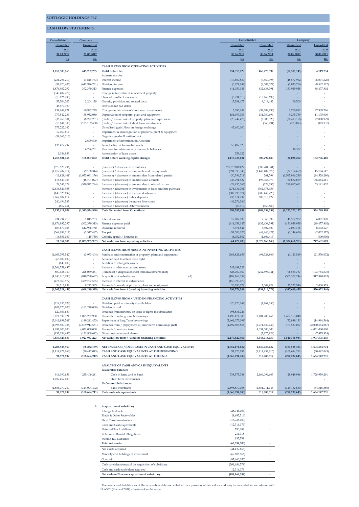#### **CASH FLOW STATEMENTS**

| Consolidated                       | Company                          |                                                                                                 |                               | Company                  |                               |                             |
|------------------------------------|----------------------------------|-------------------------------------------------------------------------------------------------|-------------------------------|--------------------------|-------------------------------|-----------------------------|
| Unaudited                          | Unaudited                        |                                                                                                 | Unaudited                     | <b>Unaudited</b>         | Unaudited                     | Unaudited                   |
| <u>as at</u>                       | as at                            |                                                                                                 | as at                         | as at                    | as at                         | as at                       |
| 31.03.2012                         | 31.03.2012                       |                                                                                                 | 30.06.2012                    | 30.06.2011               | 30.06.2012                    | 30.06.2011                  |
| Rs.                                | Rs.                              |                                                                                                 | Rs.                           | Rs.                      | Rs.                           | Rs.                         |
|                                    |                                  |                                                                                                 |                               |                          |                               |                             |
| 1,612,508,865                      |                                  | CASH FLOWS FROM OPERATING ACTIVITIES                                                            |                               |                          |                               |                             |
|                                    | 445,202,235                      | Profit before tax                                                                               | 254,915,720                   | 466,273,592              | (52, 311, 145)                | 4,119,734                   |
| (234, 294, 219)                    | (1,845,733)                      | Adjustments for:<br>Interest income                                                             | (17,607,830)                  | (7,560,398)              | (48, 577, 962)                | (6,001,328)                 |
| (91,670,406)                       | (612, 976, 781)                  | Dividend income                                                                                 | (5,974,844)                   | (8,502,527)              | (2,033,766)                   | (8,502,527)                 |
| 1,876,982,292                      | 302,370,313                      | Finance expenses                                                                                | 614,059,145                   | 432,638,391              | 131,929,928                   | 88,477,802                  |
| (340, 402, 278)                    |                                  | Change in fair value of investment property                                                     |                               |                          |                               |                             |
| (15,626,290)                       |                                  | Share of results of associates                                                                  | (6,234,510)                   | (16, 169, 698)           |                               |                             |
| 53,504,202                         | 2,204,128                        | Gratuity provision and related costs                                                            | 17,298,475                    | 9,019,482                | 90,500                        |                             |
| 46,570,190                         |                                  | Provision for bad debts                                                                         |                               |                          |                               |                             |
| 134,844,921                        | 60,992,229                       | Changes in fair value of short term investments                                                 | 3.383.142                     | (97, 309, 796)           | 2,760,882                     | 97,309,796                  |
| 777,542,286                        | 35,952,080                       | Depreciation of property, plant and equipment                                                   | 181,497,763                   | 131,780,694              | 9,295,739                     | 11,175,000                  |
| (36, 260, 101)                     | (8,227,231)                      | (Profit) / loss on sale of property, plant and equipment                                        | (25,747,478)                  | (2,008,929)              | (20, 413, 178)                | (2,008,929)                 |
| (18,641,300)                       | (125, 159, 450)                  | (Profit) / loss on sale of short term investments                                               |                               | (863, 131)               | (723, 093)                    | (863, 131)                  |
| 373,222,162                        |                                  | Unrealised (gain)/loss on foreign exchange                                                      | 47,400,000                    |                          |                               |                             |
| 17,069,614                         |                                  | Impairment & derecognition of property, plant & equipment                                       |                               |                          |                               |                             |
| (34,063,213)                       | 2,699,800                        | Negative goodwill written back                                                                  |                               |                          |                               |                             |
| 136,477,797                        |                                  | Impairment of Investment in Associate<br>Amortisation of Intangible assets                      | 50,487,925                    |                          |                               |                             |
|                                    | 6,796,281                        | Provision for intercompany receivable balances                                                  |                               |                          | 10,387                        |                             |
| 1,036,933                          |                                  | Amortisation of lease assets                                                                    | 259,122                       |                          |                               |                             |
| 4,258,801,456                      | 108,007,872                      | Profit before working capital changes                                                           | 1,113,736,631                 | 907,297,680              | 20,028,292                    | 183,706,418                 |
|                                    |                                  |                                                                                                 |                               |                          |                               |                             |
| (970, 820, 296)                    |                                  | (Increase) / decrease in inventories                                                            | 267,759,013.22                | (580, 784, 941)          |                               |                             |
| (1,617,707,214)                    | (9, 168, 344)                    | (Increase) / decrease in receivable and prepayments                                             | (991, 395, 345)               | (1,443,482,879)          | (37, 164, 659)                | 15,104,517                  |
| (11,828,461)                       | (1,053,091,176)                  | (Increase) / decrease in amount due from related parties                                        | (30, 394, 718)                | 261,598                  | (1,565,966,230)               | (94,528,290)                |
| 116,843,105                        | (18, 701, 027)                   | Increase / (decrease) in creditors and accruals                                                 | 743,794,522                   | 496, 365, 973            | 50,882,859                    | 166,864,311                 |
| 29,542,179                         | (370, 972, 284)                  | Increase / (decrease) in amount due to related parties                                          | (29, 935, 363)                | (328, 333)               | 280,017,611                   | 53,141,432                  |
| (2,636,524,955)                    |                                  | Increase / (decrease) in investments in lease and hire purchase                                 | (274, 336, 781)               | (762, 375, 956)          |                               |                             |
| (140, 528, 692)                    |                                  | Increase / (decrease) in loans and advances                                                     | (902, 093, 974)               | (205, 449, 723)          |                               |                             |
| 2,867,807,614                      |                                  | Increase / (decrease) Public deposits                                                           | 733,814,292                   | 680,018,127              |                               |                             |
| 240,494,533                        |                                  | Increase / (decrease) Insurance Provisions                                                      | (49, 276, 366)                | $\overline{\phantom{a}}$ |                               |                             |
| (667, 461)                         |                                  | Increase / (decrease) Deferred income                                                           | (83, 919)                     | (560, 880)               |                               |                             |
| 2,135,411,809                      | (1,343,924,960)                  | <b>Cash Generated from Operations</b>                                                           | 581,587,991                   | (909, 039, 334)          | (1,252,202,127)               | 324,288,388                 |
|                                    |                                  |                                                                                                 |                               | 7,560,398                |                               |                             |
| 234,294,219<br>(1,876,982,292)     | 1,845,733<br>(302, 370, 313)     | Interest received<br>Finance expenses paid                                                      | 17,607,830<br>(614, 059, 145) | (432, 638, 391)          | 48,577,962<br>(131, 929, 928) | 6,001,328<br>(88, 477, 802) |
| 103,670,406                        | 612,976,780                      | Dividend received                                                                               | 5,974,844                     | 8,502,527                | 2,033,766                     | 8,502,527                   |
| (569, 888, 217)                    | (2,347,487)                      | Tax paid                                                                                        | (51, 506, 026)                | (48, 446, 427)           | (1, 146, 656)                 | (2,032,572)                 |
| (14, 551, 039)                     | (115, 750)                       | Gratuity (paid) / Transfer in                                                                   | (4,032,502)                   | (1,604,413)              |                               | (600,000)                   |
| 11,954,886                         | (1,033,935,997)                  | Net cash flow from operating activities                                                         | (64, 427, 008)                | (1,375,665,640)          | (1,334,666,983)               | 247,681,869                 |
|                                    |                                  |                                                                                                 |                               |                          |                               |                             |
|                                    |                                  | CASH FLOWS FROM /(USED IN) INVESTING ACTIVITIES                                                 |                               |                          |                               |                             |
| (1,083,795,542)                    | (3,973,404)                      | Purchase and construction of property, plant and equipment                                      | (363, 825, 659)               | (98, 728, 866)           | (1, 123, 519)                 | (21, 576, 072)              |
| (65,000,000)                       |                                  | Advance paid to obtain lease right                                                              |                               |                          |                               |                             |
| (645,000)                          |                                  | Addition to intangible assets                                                                   |                               |                          |                               |                             |
| (1,364,551,682)                    |                                  | Increase in other non current assets                                                            | 343,689,323                   |                          |                               |                             |
| 809,436,160                        | 228,039,261                      | (Purchase) / disposal of short term investments (net)                                           | 625,080,967                   | (242, 596, 341)          | 96,554,787                    | (193, 764, 575)             |
| (4,240,015,780)                    | (840, 780, 682)                  | (A)<br>Acquisition of subsidiaries                                                              | (189, 168, 399)               |                          | (505, 372, 244)               | (317, 340, 823)             |
| (476,969,572)                      | (359, 777, 535)                  | Increase in interest in subsidiaries                                                            | (150, 390, 070)               |                          |                               |                             |
| 56,211,958                         | 8,242,965                        | Proceeds from sale of property, plant and equipment                                             | 26,390,178                    | 2.008.929                | 22,272,540                    | 2.008.929                   |
| (6,365,329,458)                    | (968, 249, 395)                  | Net cash flow from / (used in) investing activities                                             | 291,776,341                   | (339, 316, 278)          | (387, 668, 435)               | (530, 672, 540)             |
|                                    |                                  |                                                                                                 |                               |                          |                               |                             |
|                                    |                                  | CASH FLOWS FROM / (USED IN) FINANCING ACTIVITIES                                                |                               |                          |                               |                             |
| (219, 255, 728)                    |                                  | Dividend paid to minority shareholders                                                          | (20, 870, 044)                | (4,767,350)              |                               |                             |
| (101, 270, 000)                    | (101, 270, 000)                  | Dividends paid                                                                                  |                               |                          |                               |                             |
| 120,403,650                        |                                  | Proceeds from minority on issue of rights in subsidiaries<br>Proceeds from long term borrowings | 495,836,726<br>1,499,171,308  | $\sim$                   | ×                             |                             |
| 8,871,599,121                      | 1,895,267,900<br>(189, 241, 453) |                                                                                                 | (2,661,073,099)               | 3,101,200,466            | 1,402,153,048<br>(32,889,131) | (14,994,564)                |
| (3,011,898,561)<br>(1,998,500,306) | (3,579,913,581)                  | Repayment of long Term borrowings<br>Proceeds from / (repayment of) short term borrowings (net) | (1,492,585,856)               | (3,774,539,143)          | 171,533,067                   | (2,030,554,067)             |
| 4,031,000,000                      | 4,031,000,000                    | Proceeds from share issue                                                                       |                               | 4,031,000,000            |                               | 4,031,000,000               |
| (132, 154, 642)                    | (131, 909, 642)                  | Direct cost on issue of shares                                                                  |                               | (7,875,924)              |                               | (7,875,924)                 |
| 7,559,923,533                      | 1,923,933,223                    | Net cash flow from / (used in) financing activities                                             | (2, 179, 520, 964)            | 3,345,018,050            | 1,540,796,984                 | 1,977,575,445               |
|                                    |                                  |                                                                                                 |                               |                          |                               |                             |
| 1,206,548,960                      | (78, 252, 169)                   | NET INCREASE / (DECREASE) IN CASH AND CASH EQUIVALENTS                                          | (1,952,171,632)               | 1,630,036,132            | (181, 538, 434)               | 1,694,584,774               |
| (1, 114, 672, 068)                 | (30, 442, 043)                   | CASH AND CASH EQUIVALENTS AT THE BEGINNING                                                      | 91,876,892                    | (1, 114, 952, 615)       | (108, 694, 211)               | (30, 442, 043)              |
| 91,876,892                         | (108, 694, 212)                  | CASH AND CASH EQUIVALENTS AT THE END                                                            | (1,860,294,740)               | 515,083,517              | (290, 232, 645)               | 1,664,142,731               |
|                                    |                                  |                                                                                                 |                               |                          |                               |                             |
|                                    |                                  | ANALYSIS OF CASH AND CASH EQUIVALENTS                                                           |                               |                          |                               |                             |
|                                    |                                  | <b>Favourable balances</b>                                                                      |                               |                          |                               |                             |
| 914,190,659                        | 235,400,281                      | Cash in hand and at Bank                                                                        | 738,575,348                   | 2,166,094,663            | 28,949,986                    | 1,728,959,291               |
| 1,032,457,000                      |                                  | Short term investments                                                                          |                               |                          |                               |                             |
|                                    |                                  | Unfavourable balances                                                                           |                               |                          |                               |                             |
| (1,854,770,767)                    | (344, 094, 492)                  | <b>Bank</b> overdrafts                                                                          | (2,598,870,088)               | (1,651,011,146)          | (319, 182, 630)               | (64, 816, 560)              |
| 91,876,892                         | (108, 694, 211)                  | Cash and cash equivalents                                                                       | (1,860,294,740)               | 515,083,517              | (290, 232, 645)               | 1,664,142,731               |

**A Acquisition of subsidiary** Intangible Assets (28,746,003) - Trade & Other Receivables (8,685,516) - Short Term Investments (18,726,000)<br>Cash and Cash Equivalents (12,316,179) - (12,316,179) Deferred Tax Liabilities 730,081 - 730,081 - 730,081 - 730,081 - 730,081 - 730,081 - 730,081 - 730,081 - 730,081 - 730,081 - 730,081 - 730,081 - 730,081 - 730,081 - 730,081 - 730,081 - 730,081 - 730,081 - 730,081 - 730,081 Retirement Benefit Obligations 211,318 - 211,318 - 211,318 - 211,318 - 211,318 - 211,318 - 211,318 - 211,318 - 211,318 - 211,318 - 211,318 - 211,318 - 211,318 - 211,318 - 211,318 - 211,318 - 211,318 - 211,318 - 211,318 - 2 Income Tax Liabilities **Total net assets (67,394,500) -** Net assets acquired (44,137,663) - Minority cost holdings of investment (69,686,866)  $M$ inority cost holdings of investment  $% M_{\odot }$ Goodwill (87,660,050) - Cash consideration paid on acquisition of subsidiary (201,484,578) -  $\label{thm:main}$  Cash and cash equivalent acquired 12,316,179 - 12,316,179 - 12,316,179 - 12,316,179 - 12,316,179 - 12,316,179 - 12,316,179 - 12,316,179 - 12,316,179 - 12,316,179 - 12,316,179 - 12,316,179 - 12,316,179 - 12,316, **Net cash outflow on acquisition of subsidiary (189,168,399) -**

The assets and liabilities as at the acquisition date are stated at their provisional fair values and may be amended in accordance with SLAS 25 (Revised 2004) - Business Combination.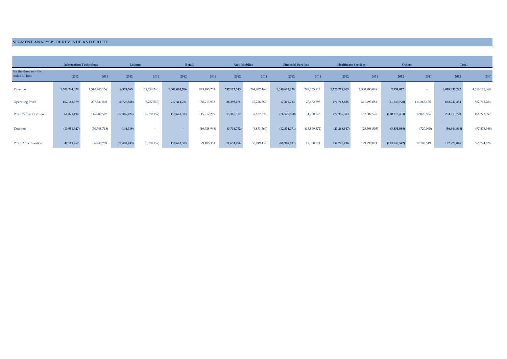#### **SEGMENT ANALYSIS OF REVENUE AND PROFIT**

|                                       | <b>Information Technology</b> |               | Leisure        |             |               | Retail       | <b>Auto Mobiles</b> |             | <b>Financial Services</b> |              | <b>Healthcare Services</b> |               |                 | Others      | Total          |                |
|---------------------------------------|-------------------------------|---------------|----------------|-------------|---------------|--------------|---------------------|-------------|---------------------------|--------------|----------------------------|---------------|-----------------|-------------|----------------|----------------|
| For the three months<br>ended 30 June | 2012                          | 2011          | 2012           | 2011        | 2012          | 2011         | 2012                | 2011        | 2012                      | 2011         | 2012                       | 2011          | 2012            | 2011        | 2012           | 2011           |
| Revenue                               | 1,308,244,029                 | 1,510,245,156 | 6,359,565      | 18,754,240  | 1,601,065,706 | 923,185,231  | 337, 117, 543       | 264,037,468 | 1,040,683,829             | 299,135,917  | 1,723,211,603              | 1,380,783,048 | 2,151,017       | $\sim$      | 6,018,833,292  | 4,396,141,060  |
| <b>Operating Profit</b>               | 162,168,379                   | 207,334,540   | (10,727,558)   | (6,267,530) | 217,411,781   | 158,213,933  | 26,398,075          | 40,228,589  | 17,419,713                | 27,472,595   | 471,713,685                | 341,493,682   | (21, 643, 720)  | 114,266,475 | 862,740,354    | 882,742,284    |
| Profit Before Taxation                | 61,071,194                    | 116,989,507   | (12,346,424)   | (6,370,159) | 119,643,303   | 115,917,299  | 15,346,577          | 37,822,792  | (76, 575, 860)            | 31,280,043   | 277,995,383                | 157,807,526   | (130, 218, 453) | 12,826,584  | 254,915,720    | 466,273,592    |
| Taxation                              | (13, 951, 927)                | (30,748,718)  | (144, 319)     |             |               | (16,728,948) | (3,714,792)         | (6,873,360) | (12, 334, 071)            | (13,899,372) | (23, 268, 647)             | (28,508,505)  | (3,531,088)     | (720, 065)  | (56, 944, 844) | (97, 478, 968) |
| Profit After Taxation                 | 47,119,267                    | 86,240,789    | (12, 490, 743) | (6,370,159) | 119,643,303   | 99,188,351   | 11,631,786          | 30,949,432  | (88,909,931)              | 17,380,671   | 254,726,736                | 129,299,021   | (133,749,542)   | 12,106,519  | 197,970,876    | 368,794,624    |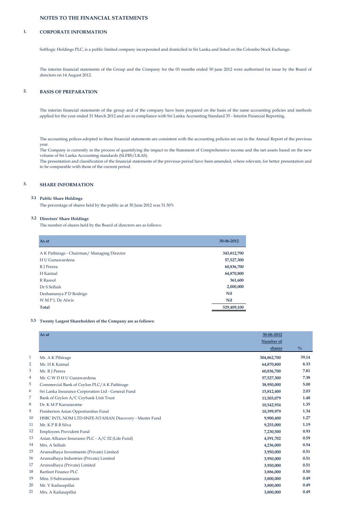# **NOTES TO THE FINANCIAL STATEMENTS**

#### **1. CORPORATE INFORMATION**

Softlogic Holdings PLC, is a public limited company incorporated and domiciled in Sri Lanka and listed on the Colombo Stock Exchange.

The interim financial statements of the Group and the Company for the 03 months ended 30 june 2012 were authorised for issue by the Board of directors on 14 August 2012.

### **2. BASIS OF PREPARATION**

The interim financial statements of the group and of the company have been prepared on the basis of the same accounting policies and methods applied for the year ended 31 March 2012 and are in compliance with Sri Lanka Accounting Standard 35 - Interim Financial Reporting.

The accounting polices adopted in these financial statements are consistent with the accounting policies set out in the Annual Report of the previous year.

The Company is currently in the process of quantifying the impact to the Statement of Comprehensive income and the net assets based on the new volume of Sri Lanka Accounting standards (SLFRS/LKAS).

The presentation and classification of the financial statements of the previous period have been amended, where relevant, for better presentation and to be comparable with those of the current period.

### **3. SHARE INFORMATION**

#### **3.1 Public Share Holdings**

The percentage of shares held by the public as at 30 June 2012 was 31.50%

#### **3.2 Directors' Share Holdings**

The number of shares held by the Board of directors are as follows:

| As at                                       | 30-06-2012  |
|---------------------------------------------|-------------|
| A K Pathirage - Chairman/ Managing Director | 343,812,700 |
| HU Gunawardena                              | 57,527,300  |
| R J Perera                                  | 60,836,700  |
| H Kaimal                                    | 64,870,800  |
| R Rasool                                    | 361,600     |
| Dr S Selliah                                | 2,000,000   |
| Deshamanya P D Rodrigo                      | Nil         |
| WMPLDe Alwis                                | <b>Nil</b>  |
| <b>Total</b>                                | 529,409,100 |

#### **3.3 Twenty Largest Shareholders of the Company are as follows:**

|              | As at                                                  | 30-06-2012  |               |
|--------------|--------------------------------------------------------|-------------|---------------|
|              |                                                        | Number of   |               |
|              |                                                        | shares      | $\frac{0}{0}$ |
| $\mathbf{1}$ | Mr. A K Pthirage                                       | 304,862,700 | 39.14         |
| 2            | Mr. H K Kaimal                                         | 64,870,800  | 8.33          |
| 3            | Mr. R J Perera                                         | 60,836,700  | 7.81          |
| 4            | Mr. G W D H U Gunawardena                              | 57,527,300  | 7.38          |
| 5            | Commercial Bank of Ceylon PLC/A K Pathirage            | 38,950,000  | 5.00          |
| 6            | Sri Lanka Insurance Corporation Ltd - General Fund     | 15,812,400  | 2.03          |
| 7            | Bank of Ceylon A/C Ceybank Unit Trust                  | 11,503,079  | 1.48          |
| 8            | Dr. K M P Karunaratne                                  | 10,542,934  | 1.35          |
| 9            | Pemberton Asian Opportunities Fund                     | 10,399,979  | 1.34          |
| 10           | HSBC INTL NOM LTD-SNFE-NTASIAN Discovery - Master Fund | 9,900,400   | 1.27          |
| 11           | Mr. KPRB Silva                                         | 9,255,000   | 1.19          |
| 12           | Employees Provident Fund                               | 7,230,500   | 0.93          |
| 13           | Asian Alliance Insurance PLC - A/C 02 (Life Fund)      | 4,591,702   | 0.59          |
| 14           | Mrs. A Selliah                                         | 4,236,000   | 0.54          |
| 15           | Arunodhaya Investments (Private) Limited               | 3,950,000   | 0.51          |
| 16           | Arunodhaya Industries (Private) Limited                | 3,950,000   | 0.51          |
| 17           | Arunodhaya (Private) Limited                           | 3,950,000   | 0.51          |
| 18           | <b>Bartleet Finance PLC</b>                            | 3,886,000   | 0.50          |
| 19           | Miss. S Subramaniam                                    | 3,800,000   | 0.49          |
| 20           | Mr. V Kailasapillai                                    | 3,800,000   | 0.49          |
| 21           | Mrs. A Kailasapillai                                   | 3,800,000   | 0.49          |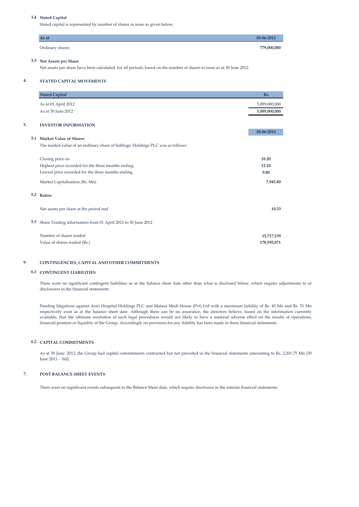## **3.4 Stated Capital**

Stated capital is represented by number of shares in issue as given below;

| As at                    | 30-06-2012  |
|--------------------------|-------------|
| Ordinary shares          | 779,000,000 |
| 3.5 Net Assets per Share |             |

Net assets per share have been calculated, for all periods, based on the number of shares in issue as at 30 June 2012.

#### **4. STATED CAPITAL MOVEMENTS**

|     | <b>Stated Capital</b>                                                           | R <sub>s</sub> |
|-----|---------------------------------------------------------------------------------|----------------|
|     | As at 01 April 2012                                                             | 5,089,000,000  |
|     | As at 30 June 2012                                                              | 5,089,000,000  |
| 5.  | <b>INVESTOR INFORMATION</b>                                                     |                |
|     |                                                                                 | 30-06-2010     |
| 5.1 | <b>Market Value of Shares</b>                                                   |                |
|     | The market value of an ordinary share of Softlogic Holdings PLC was as follows. |                |
|     | Closing price on                                                                | 10.20          |
|     | Highest price recorded for the three months ending                              | 12.10          |
|     | Lowest price recorded for the three months ending                               | 9.00           |
|     | Market Capitalisation (Rs. Mn)                                                  | 7,945.80       |
|     | 5.2 Ratios                                                                      |                |
|     | Net assets per share at the period end                                          | 10.33          |
| 5.3 | Share Trading information from 01 April 2012 to 30 June 2012                    |                |
|     | Number of shares traded                                                         | 15,717,139     |
|     | Value of shares traded (Rs.)                                                    | 178,595,871    |

## **6. CONTINGENCIES, CAPITAL AND OTHER COMMITMENTS**

#### **6.1 CONTINGENT LIABILITIES**

There were no significant contingent liabilities as at the balance sheet date other than what is disclosed below, which require adjustments to or disclosures in the financial statements.

Pending litigations against Asiri Hospital Holdings PLC and Matara Medi House (Pvt) Ltd with a maximum liability of Rs. 43 Mn and Rs. 51 Mn respectively exist as at the balance sheet date. Although there can be no assurance, the directors believe, based on the information currently available, that the ultimate resolution of such legal procedures would not likely to have a material adverse effect on the results of operations, financial position or liquidity of the Group. Accordingly no provision for any liability has been made in these financial statements.

#### **6.2 CAPITAL COMMITMENTS**

As at 30 June 2012, the Group had capital commitments contracted but not provided in the financial statements amounting to Rs. 2,201.75 Mn (30 June 2011 - Nil).

#### **7. POST BALANCE SHEET EVENTS**

There were no significant events subsequent to the Balance Sheet date, which require disclosure in the interim financial statements.